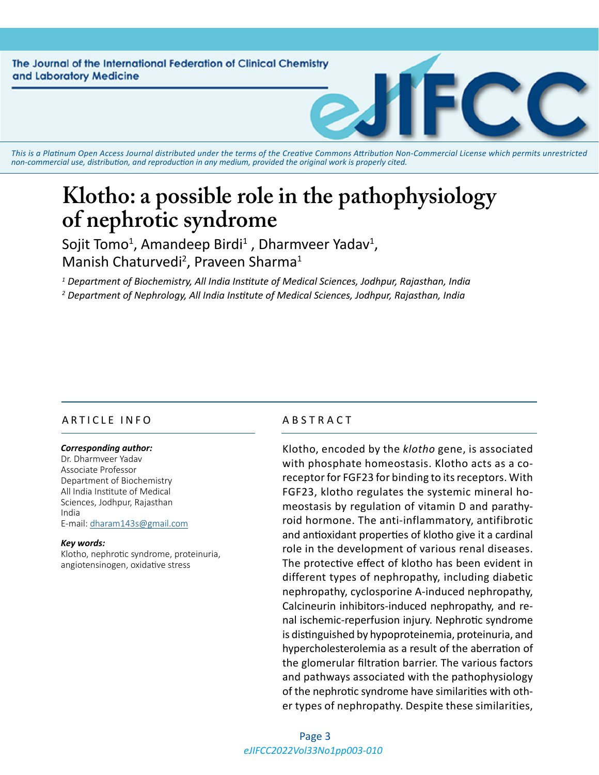The Journal of the International Federation of Clinical Chemistry and Laboratory Medicine

*This is a Platinum Open Access Journal distributed under the terms of the [Creative Commons Attribution Non-Commercial License](https://creativecommons.org/licenses/by-nc/4.0/) which permits unrestricted non-commercial use, distribution, and reproduction in any medium, provided the original work is properly cited.*

# **Klotho: a possible role in the pathophysiology of nephrotic syndrome**

Sojit Tomo<sup>1</sup>, Amandeep Birdi<sup>1</sup> , Dharmveer Yadav<sup>1</sup>, Manish Chaturvedi<sup>2</sup>, Praveen Sharma<sup>1</sup>

*1 Department of Biochemistry, All India Institute of Medical Sciences, Jodhpur, Rajasthan, India 2 Department of Nephrology, All India Institute of Medical Sciences, Jodhpur, Rajasthan, India*

# ARTICLE INFO ABSTRACT

#### *Corresponding author:*

Dr. Dharmveer Yadav Associate Professor Department of Biochemistry All India Institute of Medical Sciences, Jodhpur, Rajasthan India E-mail: [dharam143s@gmail.com](mailto:dharam143s@gmail.com)

#### *Key words:*

Klotho, nephrotic syndrome, proteinuria, angiotensinogen, oxidative stress

Klotho, encoded by the *klotho* gene, is associated with phosphate homeostasis. Klotho acts as a coreceptor for FGF23 for binding to its receptors. With FGF23, klotho regulates the systemic mineral homeostasis by regulation of vitamin D and parathyroid hormone. The anti-inflammatory, antifibrotic and antioxidant properties of klotho give it a cardinal role in the development of various renal diseases. The protective effect of klotho has been evident in different types of nephropathy, including diabetic nephropathy, cyclosporine A-induced nephropathy, Calcineurin inhibitors-induced nephropathy, and renal ischemic-reperfusion injury. Nephrotic syndrome is distinguished by hypoproteinemia, proteinuria, and hypercholesterolemia as a result of the aberration of the glomerular filtration barrier. The various factors and pathways associated with the pathophysiology of the nephrotic syndrome have similarities with other types of nephropathy. Despite these similarities,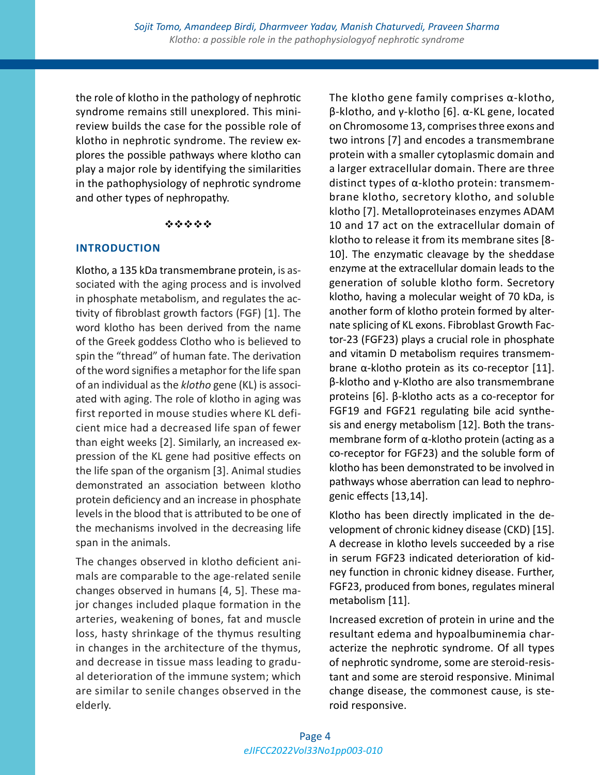the role of klotho in the pathology of nephrotic syndrome remains still unexplored. This minireview builds the case for the possible role of klotho in nephrotic syndrome. The review explores the possible pathways where klotho can play a major role by identifying the similarities in the pathophysiology of nephrotic syndrome and other types of nephropathy.

#### \*\*\*\*\*

# **INTRODUCTION**

Klotho, a 135 kDa transmembrane protein, is associated with the aging process and is involved in phosphate metabolism, and regulates the activity of fibroblast growth factors (FGF) [1]. The word klotho has been derived from the name of the Greek goddess Clotho who is believed to spin the "thread" of human fate. The derivation of the word signifies a metaphor for the life span of an individual as the *klotho* gene (KL) is associated with aging. The role of klotho in aging was first reported in mouse studies where KL deficient mice had a decreased life span of fewer than eight weeks [2]. Similarly, an increased expression of the KL gene had positive effects on the life span of the organism [3]. Animal studies demonstrated an association between klotho protein deficiency and an increase in phosphate levels in the blood that is attributed to be one of the mechanisms involved in the decreasing life span in the animals.

The changes observed in klotho deficient animals are comparable to the age-related senile changes observed in humans [4, 5]. These major changes included plaque formation in the arteries, weakening of bones, fat and muscle loss, hasty shrinkage of the thymus resulting in changes in the architecture of the thymus, and decrease in tissue mass leading to gradual deterioration of the immune system; which are similar to senile changes observed in the elderly.

The klotho gene family comprises α-klotho, β-klotho, and γ-klotho [6]. α-KL gene, located on Chromosome 13, comprises three exons and two introns [7] and encodes a transmembrane protein with a smaller cytoplasmic domain and a larger extracellular domain. There are three distinct types of α-klotho protein: transmembrane klotho, secretory klotho, and soluble klotho [7]. Metalloproteinases enzymes ADAM 10 and 17 act on the extracellular domain of klotho to release it from its membrane sites [8- 10]. The enzymatic cleavage by the sheddase enzyme at the extracellular domain leads to the generation of soluble klotho form. Secretory klotho, having a molecular weight of 70 kDa, is another form of klotho protein formed by alternate splicing of KL exons. Fibroblast Growth Factor-23 (FGF23) plays a crucial role in phosphate and vitamin D metabolism requires transmembrane α-klotho protein as its co-receptor [11]. β-klotho and γ-Klotho are also transmembrane proteins [6]. β-klotho acts as a co-receptor for FGF19 and FGF21 regulating bile acid synthesis and energy metabolism [12]. Both the transmembrane form of  $\alpha$ -klotho protein (acting as a co-receptor for FGF23) and the soluble form of klotho has been demonstrated to be involved in pathways whose aberration can lead to nephrogenic effects [13,14].

Klotho has been directly implicated in the development of chronic kidney disease (CKD) [15]. A decrease in klotho levels succeeded by a rise in serum FGF23 indicated deterioration of kidney function in chronic kidney disease. Further, FGF23, produced from bones, regulates mineral metabolism [11].

Increased excretion of protein in urine and the resultant edema and hypoalbuminemia characterize the nephrotic syndrome. Of all types of nephrotic syndrome, some are steroid-resistant and some are steroid responsive. Minimal change disease, the commonest cause, is steroid responsive.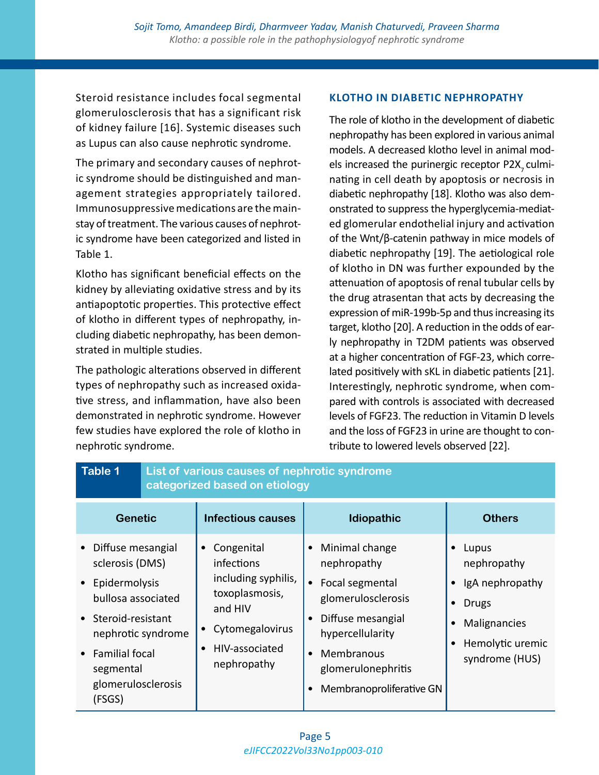Steroid resistance includes focal segmental glomerulosclerosis that has a significant risk of kidney failure [16]. Systemic diseases such as Lupus can also cause nephrotic syndrome.

The primary and secondary causes of nephrotic syndrome should be distinguished and management strategies appropriately tailored. Immunosuppressive medications are the mainstay of treatment. The various causes of nephrotic syndrome have been categorized and listed in Table 1.

Klotho has significant beneficial effects on the kidney by alleviating oxidative stress and by its antiapoptotic properties. This protective effect of klotho in different types of nephropathy, including diabetic nephropathy, has been demonstrated in multiple studies.

The pathologic alterations observed in different types of nephropathy such as increased oxidative stress, and inflammation, have also been demonstrated in nephrotic syndrome. However few studies have explored the role of klotho in nephrotic syndrome.

# **KLOTHO IN DIABETIC NEPHROPATHY**

The role of klotho in the development of diabetic nephropathy has been explored in various animal models. A decreased klotho level in animal models increased the purinergic receptor P2X<sub>z</sub> culminating in cell death by apoptosis or necrosis in diabetic nephropathy [18]. Klotho was also demonstrated to suppress the hyperglycemia-mediated glomerular endothelial injury and activation of the Wnt/β-catenin pathway in mice models of diabetic nephropathy [19]. The aetiological role of klotho in DN was further expounded by the attenuation of apoptosis of renal tubular cells by the drug atrasentan that acts by decreasing the expression of miR-199b-5p and thus increasing its target, klotho [20]. A reduction in the odds of early nephropathy in T2DM patients was observed at a higher concentration of FGF-23, which correlated positively with sKL in diabetic patients [21]. Interestingly, nephrotic syndrome, when compared with controls is associated with decreased levels of FGF23. The reduction in Vitamin D levels and the loss of FGF23 in urine are thought to contribute to lowered levels observed [22].

| <b>Table 1</b>                                                                                                                                                                                                  | List of various causes of nephrotic syndrome<br>categorized based on etiology |                                                                                                                                  |                                                                                                                                                                                                                                                  |                                                                                                                                         |
|-----------------------------------------------------------------------------------------------------------------------------------------------------------------------------------------------------------------|-------------------------------------------------------------------------------|----------------------------------------------------------------------------------------------------------------------------------|--------------------------------------------------------------------------------------------------------------------------------------------------------------------------------------------------------------------------------------------------|-----------------------------------------------------------------------------------------------------------------------------------------|
| <b>Genetic</b>                                                                                                                                                                                                  |                                                                               | <b>Infectious causes</b>                                                                                                         | Idiopathic                                                                                                                                                                                                                                       | <b>Others</b>                                                                                                                           |
| • Diffuse mesangial<br>sclerosis (DMS)<br>• Epidermolysis<br>bullosa associated<br>• Steroid-resistant<br>nephrotic syndrome<br><b>Familial focal</b><br>$\bullet$<br>segmental<br>glomerulosclerosis<br>(FSGS) |                                                                               | Congenital<br>infections<br>including syphilis,<br>toxoplasmosis,<br>and HIV<br>Cytomegalovirus<br>HIV-associated<br>nephropathy | Minimal change<br>$\bullet$<br>nephropathy<br>Focal segmental<br>$\bullet$<br>glomerulosclerosis<br>Diffuse mesangial<br>$\bullet$<br>hypercellularity<br>Membranous<br>$\bullet$<br>glomerulonephritis<br>Membranoproliferative GN<br>$\bullet$ | Lupus<br>$\bullet$<br>nephropathy<br>IgA nephropathy<br><b>Drugs</b><br>$\bullet$<br>Malignancies<br>Hemolytic uremic<br>syndrome (HUS) |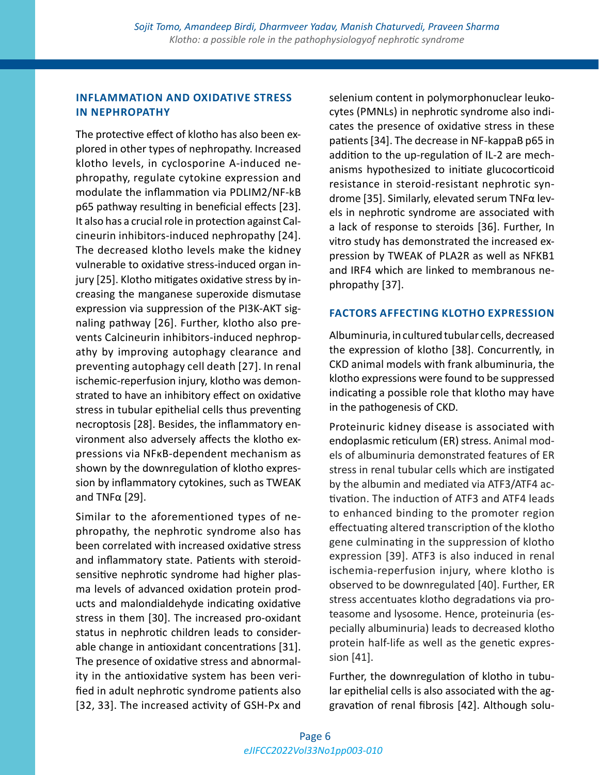# **INFLAMMATION AND OXIDATIVE STRESS IN NEPHROPATHY**

The protective effect of klotho has also been explored in other types of nephropathy. Increased klotho levels, in cyclosporine A-induced nephropathy, regulate cytokine expression and modulate the inflammation via PDLIM2/NF-kB p65 pathway resulting in beneficial effects [23]. It also has a crucial role in protection against Calcineurin inhibitors-induced nephropathy [24]. The decreased klotho levels make the kidney vulnerable to oxidative stress-induced organ injury [25]. Klotho mitigates oxidative stress by increasing the manganese superoxide dismutase expression via suppression of the PI3K-AKT signaling pathway [26]. Further, klotho also prevents Calcineurin inhibitors-induced nephropathy by improving autophagy clearance and preventing autophagy cell death [27]. In renal ischemic-reperfusion injury, klotho was demonstrated to have an inhibitory effect on oxidative stress in tubular epithelial cells thus preventing necroptosis [28]. Besides, the inflammatory environment also adversely affects the klotho expressions via NFκB-dependent mechanism as shown by the downregulation of klotho expression by inflammatory cytokines, such as TWEAK and TNFα [29].

Similar to the aforementioned types of nephropathy, the nephrotic syndrome also has been correlated with increased oxidative stress and inflammatory state. Patients with steroidsensitive nephrotic syndrome had higher plasma levels of advanced oxidation protein products and malondialdehyde indicating oxidative stress in them [30]. The increased pro-oxidant status in nephrotic children leads to considerable change in antioxidant concentrations [31]. The presence of oxidative stress and abnormality in the antioxidative system has been verified in adult nephrotic syndrome patients also [32, 33]. The increased activity of GSH-Px and selenium content in polymorphonuclear leukocytes (PMNLs) in nephrotic syndrome also indicates the presence of oxidative stress in these patients [34]. The decrease in NF-kappaB p65 in addition to the up-regulation of IL-2 are mechanisms hypothesized to initiate glucocorticoid resistance in steroid-resistant nephrotic syndrome [35]. Similarly, elevated serum TNFα levels in nephrotic syndrome are associated with a lack of response to steroids [36]. Further, In vitro study has demonstrated the increased expression by TWEAK of PLA2R as well as NFKB1 and IRF4 which are linked to membranous nephropathy [37].

# **FACTORS AFFECTING KLOTHO EXPRESSION**

Albuminuria, in cultured tubular cells, decreased the expression of klotho [38]. Concurrently, in CKD animal models with frank albuminuria, the klotho expressions were found to be suppressed indicating a possible role that klotho may have in the pathogenesis of CKD.

Proteinuric kidney disease is associated with endoplasmic reticulum (ER) stress. Animal models of albuminuria demonstrated features of ER stress in renal tubular cells which are instigated by the albumin and mediated via ATF3/ATF4 activation. The induction of ATF3 and ATF4 leads to enhanced binding to the promoter region effectuating altered transcription of the klotho gene culminating in the suppression of klotho expression [39]. ATF3 is also induced in renal ischemia-reperfusion injury, where klotho is observed to be downregulated [40]. Further, ER stress accentuates klotho degradations via proteasome and lysosome. Hence, proteinuria (especially albuminuria) leads to decreased klotho protein half-life as well as the genetic expression [41].

Further, the downregulation of klotho in tubular epithelial cells is also associated with the aggravation of renal fibrosis [42]. Although solu-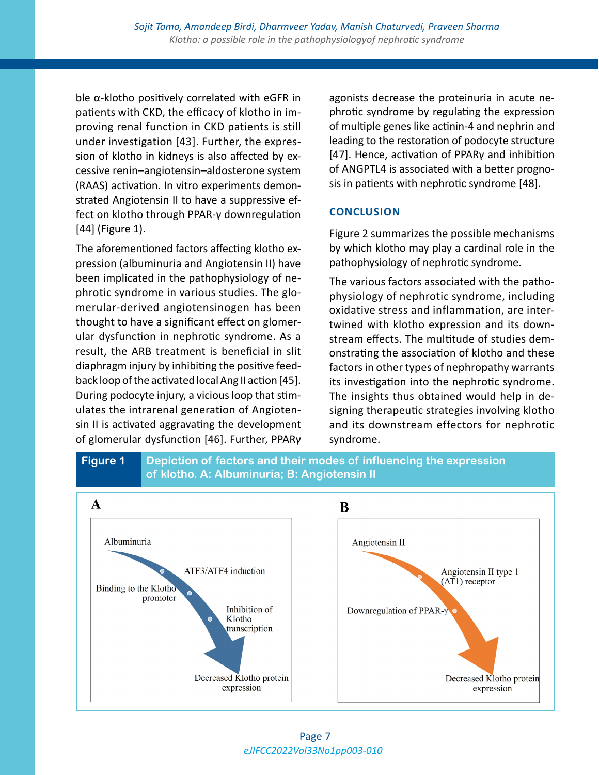ble α-klotho positively correlated with eGFR in patients with CKD, the efficacy of klotho in improving renal function in CKD patients is still under investigation [43]. Further, the expression of klotho in kidneys is also affected by excessive renin–angiotensin–aldosterone system (RAAS) activation. In vitro experiments demonstrated Angiotensin II to have a suppressive effect on klotho through PPAR-γ downregulation [44] (Figure 1).

The aforementioned factors affecting klotho expression (albuminuria and Angiotensin II) have been implicated in the pathophysiology of nephrotic syndrome in various studies. The glomerular-derived angiotensinogen has been thought to have a significant effect on glomerular dysfunction in nephrotic syndrome. As a result, the ARB treatment is beneficial in slit diaphragm injury by inhibiting the positive feedback loop of the activated local Ang II action [45]. During podocyte injury, a vicious loop that stimulates the intrarenal generation of Angiotensin II is activated aggravating the development of glomerular dysfunction [46]. Further, PPARγ

agonists decrease the proteinuria in acute nephrotic syndrome by regulating the expression of multiple genes like actinin-4 and nephrin and leading to the restoration of podocyte structure [47]. Hence, activation of PPARγ and inhibition of ANGPTL4 is associated with a better prognosis in patients with nephrotic syndrome [48].

# **CONCLUSION**

Figure 2 summarizes the possible mechanisms by which klotho may play a cardinal role in the pathophysiology of nephrotic syndrome.

The various factors associated with the pathophysiology of nephrotic syndrome, including oxidative stress and inflammation, are intertwined with klotho expression and its downstream effects. The multitude of studies demonstrating the association of klotho and these factors in other types of nephropathy warrants its investigation into the nephrotic syndrome. The insights thus obtained would help in designing therapeutic strategies involving klotho and its downstream effectors for nephrotic syndrome.



*eJIFCC2022Vol33No1pp003-010* Page 7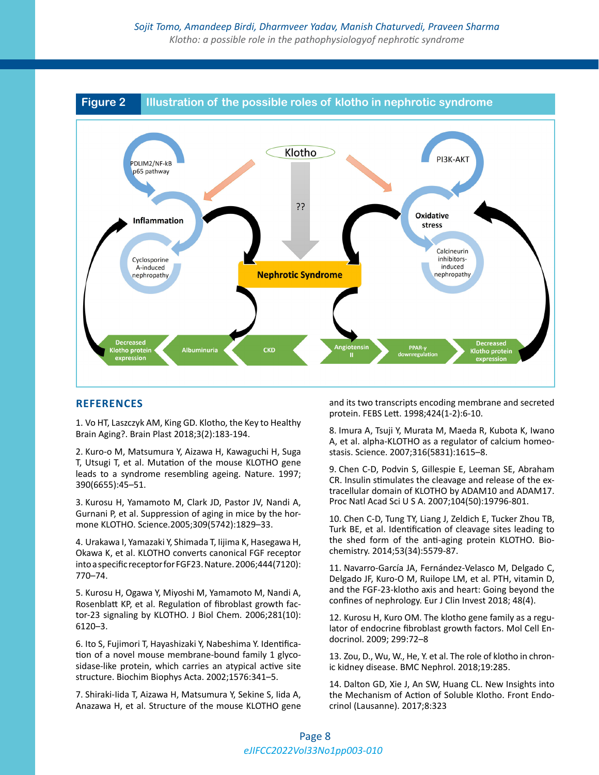

#### **REFERENCES**

1. Vo HT, Laszczyk AM, King GD. Klotho, the Key to Healthy Brain Aging?. Brain Plast 2018;3(2):183-194.

2. Kuro-o M, Matsumura Y, Aizawa H, Kawaguchi H, Suga T, Utsugi T, et al. Mutation of the mouse KLOTHO gene leads to a syndrome resembling ageing. Nature. 1997; 390(6655):45–51.

3. Kurosu H, Yamamoto M, Clark JD, Pastor JV, Nandi A, Gurnani P, et al. Suppression of aging in mice by the hormone KLOTHO. Science.2005;309(5742):1829–33.

4. Urakawa I, Yamazaki Y, Shimada T, Iijima K, Hasegawa H, Okawa K, et al. KLOTHO converts canonical FGF receptor into a specific receptor for FGF23. Nature. 2006;444(7120): 770–74.

5. Kurosu H, Ogawa Y, Miyoshi M, Yamamoto M, Nandi A, Rosenblatt KP, et al. Regulation of fibroblast growth factor-23 signaling by KLOTHO. J Biol Chem. 2006;281(10): 6120–3.

6. Ito S, Fujimori T, Hayashizaki Y, Nabeshima Y. Identification of a novel mouse membrane-bound family 1 glycosidase-like protein, which carries an atypical active site structure. Biochim Biophys Acta. 2002;1576:341–5.

7. Shiraki-Iida T, Aizawa H, Matsumura Y, Sekine S, Iida A, Anazawa H, et al. Structure of the mouse KLOTHO gene and its two transcripts encoding membrane and secreted protein. FEBS Lett. 1998;424(1-2):6-10.

8. Imura A, Tsuji Y, Murata M, Maeda R, Kubota K, Iwano A, et al. alpha-KLOTHO as a regulator of calcium homeostasis. Science. 2007;316(5831):1615–8.

9. Chen C-D, Podvin S, Gillespie E, Leeman SE, Abraham CR. Insulin stimulates the cleavage and release of the extracellular domain of KLOTHO by ADAM10 and ADAM17. Proc Natl Acad Sci U S A. 2007;104(50):19796-801.

10. Chen C-D, Tung TY, Liang J, Zeldich E, Tucker Zhou TB, Turk BE, et al. Identification of cleavage sites leading to the shed form of the anti-aging protein KLOTHO. Biochemistry. 2014;53(34):5579-87.

11. Navarro-García JA, Fernández-Velasco M, Delgado C, Delgado JF, Kuro-O M, Ruilope LM, et al. PTH, vitamin D, and the FGF-23-klotho axis and heart: Going beyond the confines of nephrology. Eur J Clin Invest 2018; 48(4).

12. Kurosu H, Kuro OM. The klotho gene family as a regulator of endocrine fibroblast growth factors. Mol Cell Endocrinol. 2009; 299:72–8

13. Zou, D., Wu, W., He, Y. et al. The role of klotho in chronic kidney disease. BMC Nephrol. 2018;19:285.

14. Dalton GD, Xie J, An SW, Huang CL. New Insights into the Mechanism of Action of Soluble Klotho. Front Endocrinol (Lausanne). 2017;8:323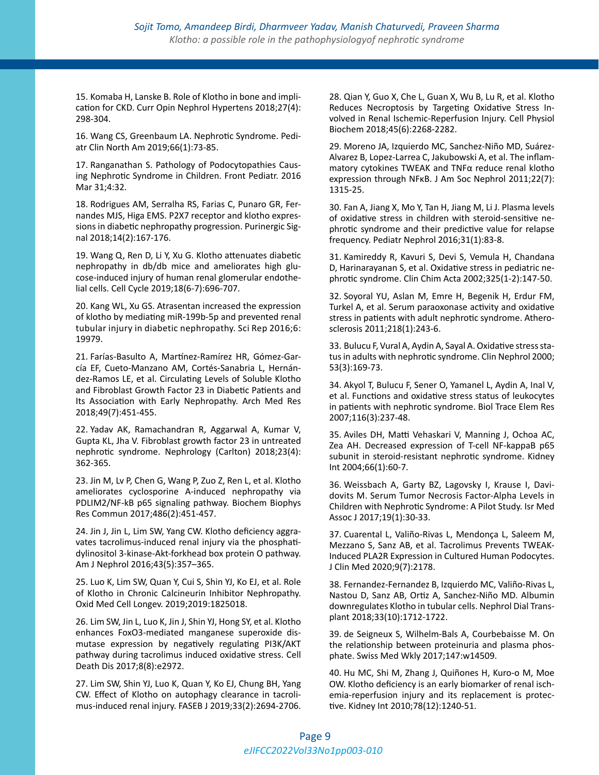15. Komaba H, Lanske B. Role of Klotho in bone and implication for CKD. Curr Opin Nephrol Hypertens 2018;27(4): 298-304.

16. Wang CS, Greenbaum LA. Nephrotic Syndrome. Pediatr Clin North Am 2019;66(1):73-85.

17. Ranganathan S. Pathology of Podocytopathies Causing Nephrotic Syndrome in Children. Front Pediatr. 2016 Mar 31;4:32.

18. Rodrigues AM, Serralha RS, Farias C, Punaro GR, Fernandes MJS, Higa EMS. P2X7 receptor and klotho expressions in diabetic nephropathy progression. Purinergic Signal 2018;14(2):167-176.

19. Wang Q, Ren D, Li Y, Xu G. Klotho attenuates diabetic nephropathy in db/db mice and ameliorates high glucose-induced injury of human renal glomerular endothelial cells. Cell Cycle 2019;18(6-7):696-707.

20. Kang WL, Xu GS. Atrasentan increased the expression of klotho by mediating miR-199b-5p and prevented renal tubular injury in diabetic nephropathy. Sci Rep 2016;6: 19979.

21. Farías-Basulto A, Martínez-Ramírez HR, Gómez-García EF, Cueto-Manzano AM, Cortés-Sanabria L, Hernández-Ramos LE, et al. Circulating Levels of Soluble Klotho and Fibroblast Growth Factor 23 in Diabetic Patients and Its Association with Early Nephropathy. Arch Med Res 2018;49(7):451-455.

22. Yadav AK, Ramachandran R, Aggarwal A, Kumar V, Gupta KL, Jha V. Fibroblast growth factor 23 in untreated nephrotic syndrome. Nephrology (Carlton) 2018;23(4): 362-365.

23. Jin M, Lv P, Chen G, Wang P, Zuo Z, Ren L, et al. Klotho ameliorates cyclosporine A-induced nephropathy via PDLIM2/NF-kB p65 signaling pathway. Biochem Biophys Res Commun 2017;486(2):451-457.

24. Jin J, Jin L, Lim SW, Yang CW. Klotho deficiency aggravates tacrolimus-induced renal injury via the phosphatidylinositol 3-kinase-Akt-forkhead box protein O pathway. Am J Nephrol 2016;43(5):357–365.

25. Luo K, Lim SW, Quan Y, Cui S, Shin YJ, Ko EJ, et al. Role of Klotho in Chronic Calcineurin Inhibitor Nephropathy. Oxid Med Cell Longev. 2019;2019:1825018.

26. Lim SW, Jin L, Luo K, Jin J, Shin YJ, Hong SY, et al. Klotho enhances FoxO3-mediated manganese superoxide dismutase expression by negatively regulating PI3K/AKT pathway during tacrolimus induced oxidative stress. Cell Death Dis 2017;8(8):e2972.

27. Lim SW, Shin YJ, Luo K, Quan Y, Ko EJ, Chung BH, Yang CW. Effect of Klotho on autophagy clearance in tacrolimus-induced renal injury. FASEB J 2019;33(2):2694-2706.

28. Qian Y, Guo X, Che L, Guan X, Wu B, Lu R, et al. Klotho Reduces Necroptosis by Targeting Oxidative Stress Involved in Renal Ischemic-Reperfusion Injury. Cell Physiol Biochem 2018;45(6):2268-2282.

29. Moreno JA, Izquierdo MC, Sanchez-Niño MD, Suárez-Alvarez B, Lopez-Larrea C, Jakubowski A, et al. The inflammatory cytokines TWEAK and TNFα reduce renal klotho expression through NFκB. J Am Soc Nephrol 2011;22(7): 1315-25.

30. Fan A, Jiang X, Mo Y, Tan H, Jiang M, Li J. Plasma levels of oxidative stress in children with steroid-sensitive nephrotic syndrome and their predictive value for relapse frequency. Pediatr Nephrol 2016;31(1):83-8.

31. Kamireddy R, Kavuri S, Devi S, Vemula H, Chandana D, Harinarayanan S, et al. Oxidative stress in pediatric nephrotic syndrome. Clin Chim Acta 2002;325(1-2):147-50.

32. Soyoral YU, Aslan M, Emre H, Begenik H, Erdur FM, Turkel A, et al. Serum paraoxonase activity and oxidative stress in patients with adult nephrotic syndrome. Atherosclerosis 2011;218(1):243-6.

33. Bulucu F, Vural A, Aydin A, Sayal A. Oxidative stress status in adults with nephrotic syndrome. Clin Nephrol 2000; 53(3):169-73.

34. Akyol T, Bulucu F, Sener O, Yamanel L, Aydin A, Inal V, et al. Functions and oxidative stress status of leukocytes in patients with nephrotic syndrome. Biol Trace Elem Res 2007;116(3):237-48.

35. Aviles DH, Matti Vehaskari V, Manning J, Ochoa AC, Zea AH. Decreased expression of T-cell NF-kappaB p65 subunit in steroid-resistant nephrotic syndrome. Kidney Int 2004;66(1):60-7.

36. Weissbach A, Garty BZ, Lagovsky I, Krause I, Davidovits M. Serum Tumor Necrosis Factor-Alpha Levels in Children with Nephrotic Syndrome: A Pilot Study. Isr Med Assoc J 2017;19(1):30-33.

37. Cuarental L, Valiño-Rivas L, Mendonça L, Saleem M, Mezzano S, Sanz AB, et al. Tacrolimus Prevents TWEAK-Induced PLA2R Expression in Cultured Human Podocytes. J Clin Med 2020;9(7):2178.

38. Fernandez-Fernandez B, Izquierdo MC, Valiño-Rivas L, Nastou D, Sanz AB, Ortiz A, Sanchez-Niño MD. Albumin downregulates Klotho in tubular cells. Nephrol Dial Transplant 2018;33(10):1712-1722.

39. de Seigneux S, Wilhelm-Bals A, Courbebaisse M. On the relationship between proteinuria and plasma phosphate. Swiss Med Wkly 2017;147:w14509.

40. Hu MC, Shi M, Zhang J, Quiñones H, Kuro-o M, Moe OW. Klotho deficiency is an early biomarker of renal ischemia-reperfusion injury and its replacement is protective. Kidney Int 2010;78(12):1240-51.